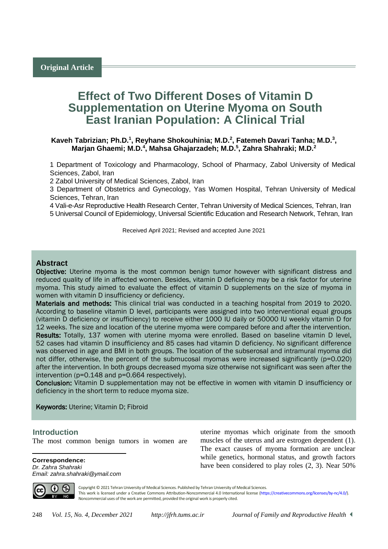# **Effect of Two Different Doses of Vitamin D Supplementation on Uterine Myoma on South East Iranian Population: A Clinical Trial**

## Kaveh Tabrizian; Ph.D.<sup>1</sup>, Reyhane Shokouhinia; M.D.<sup>2</sup>, Fatemeh Davari Tanha; M.D.<sup>3</sup>, **Marjan Ghaemi; M.D.<sup>4</sup> , Mahsa Ghajarzadeh; M.D.<sup>5</sup> , Zahra Shahraki; M.D.<sup>2</sup>**

1 Department of Toxicology and Pharmacology, School of Pharmacy, Zabol University of Medical Sciences, Zabol, Iran

2 Zabol University of Medical Sciences, Zabol, Iran

3 Department of Obstetrics and Gynecology, Yas Women Hospital, Tehran University of Medical Sciences, Tehran, Iran

4 Vali-e-Asr Reproductive Health Research Center, Tehran University of Medical Sciences, Tehran, Iran 5 Universal Council of Epidemiology, Universal Scientific Education and Research Network, Tehran, Iran

Received April 2021; Revised and accepted June 2021

# **Abstract**

Objective: Uterine myoma is the most common benign tumor however with significant distress and reduced quality of life in affected women. Besides, vitamin D deficiency may be a risk factor for uterine myoma. This study aimed to evaluate the effect of vitamin D supplements on the size of myoma in women with vitamin D insufficiency or deficiency.

Materials and methods: This clinical trial was conducted in a teaching hospital from 2019 to 2020. According to baseline vitamin D level, participants were assigned into two interventional equal groups (vitamin D deficiency or insufficiency) to receive either 1000 IU daily or 50000 IU weekly vitamin D for 12 weeks. The size and location of the uterine myoma were compared before and after the intervention. Results: Totally, 137 women with uterine myoma were enrolled. Based on baseline vitamin D level, 52 cases had vitamin D insufficiency and 85 cases had vitamin D deficiency. No significant difference was observed in age and BMI in both groups. The location of the subserosal and intramural myoma did not differ, otherwise, the percent of the submucosal myomas were increased significantly (p=0.020) after the intervention. In both groups decreased myoma size otherwise not significant was seen after the intervention (p=0.148 and p=0.664 respectively).

Conclusion: Vitamin D supplementation may not be effective in women with vitamin D insufficiency or deficiency in the short term to reduce myoma size.

Keywords: Uterine; Vitamin D; Fibroid

## <sup>1</sup>**Introduction**

 $\overline{a}$ 

The most common benign tumors in women are

**Correspondence:** *Dr. Zahra Shahraki Email: zahra.shahraki@ymail.com* uterine myomas which originate from the smooth muscles of the uterus and are estrogen dependent (1). The exact causes of myoma formation are unclear while genetics, hormonal status, and growth factors have been considered to play roles (2, 3). Near 50%



Copyright © 2021 Tehran University of Medical Sciences. Published by Tehran University of Medical Sciences. This work is licensed under a Creative Commons Attribution-Noncommercial 4.0 International license [\(https://creativecommons.org/licenses/by-nc/4.0/\)](https://creativecommons.org/licenses/by-nc/4.0/). Noncommercial uses of the work are permitted, provided the original work is properly cited.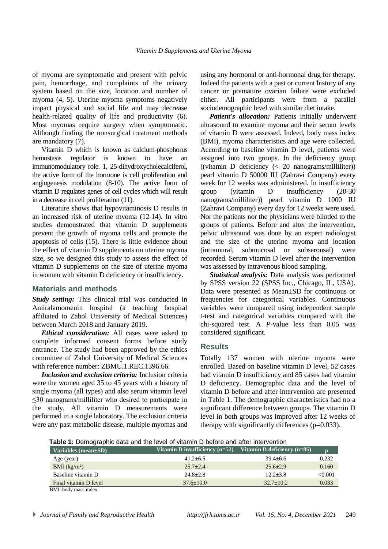of myoma are symptomatic and present with pelvic pain, hemorrhage, and complaints of the urinary system based on the size, location and number of myoma (4, 5). Uterine myoma symptoms negatively impact physical and social life and may decrease health-related quality of life and productivity (6). Most myomas require surgery when symptomatic. Although finding the nonsurgical treatment methods are mandatory (7).

Vitamin D which is known as calcium-phosphorus hemostasis regulator is known to have an immunomodulatory role. 1, 25-dihydroxycholecalciferol, the active form of the hormone is cell proliferation and angiogenesis modulation (8-10). The active form of vitamin D regulates genes of cell cycles which will result in a decrease in cell proliferation (11).

Literature shows that hypovitaminosis D results in an increased risk of uterine myoma (12-14). In vitro studies demonstrated that vitamin D supplements prevent the growth of myoma cells and promote the apoptosis of cells (15). There is little evidence about the effect of vitamin D supplements on uterine myoma size, so we designed this study to assess the effect of vitamin D supplements on the size of uterine myoma in women with vitamin D deficiency or insufficiency.

# **Materials and methods**

*Study setting:* This clinical trial was conducted in Amiralamomenin hospital (a teaching hospital affiliated to Zabol University of Medical Sciences) between March 2018 and January 2019.

*Ethical consideration:* All cases were asked to complete informed consent forms before study entrance. The study had been approved by the ethics committee of Zabol University of Medical Sciences with reference number: ZBMU.1.REC.1396.66.

*Inclusion and exclusion criteria:* Inclusion criteria were the women aged 35 to 45 years with a history of single myoma (all types) and also serum vitamin level ≤30 nanograms/milliliter who desired to participate in the study. All vitamin D measurements were performed in a single laboratory. The exclusion criteria were any past metabolic disease, multiple myomas and using any hormonal or anti-hormonal drug for therapy. Indeed the patients with a past or current history of any cancer or premature ovarian failure were excluded either. All participants were from a parallel sociodemographic level with similar diet intake.

*Patient's allocation:* Patients initially underwent ultrasound to examine myoma and their serum levels of vitamin D were assessed. Indeed, body mass index (BMI), myoma characteristics and age were collected. According to baseline vitamin D level, patients were assigned into two groups. In the deficiency group  $((vitamin D \n definition  $(< 20 \n nanograms/milliliter))$$ pearl vitamin D 50000 IU (Zahravi Company) every week for 12 weeks was administered. In insufficiency group (vitamin D insufficiency (20-30 nanograms/milliliter)) pearl vitamin D 1000 IU (Zahravi Company) every day for 12 weeks were used. Nor the patients nor the physicians were blinded to the groups of patients. Before and after the intervention, pelvic ultrasound was done by an expert radiologist and the size of the uterine myoma and location (intramural, submucosal or subserousal) were recorded. Serum vitamin D level after the intervention was assessed by intravenous blood sampling.

*Statistical analysis:* Data analysis was performed by SPSS version 22 (SPSS Inc., Chicago, IL, USA). Data were presented as Mean±SD for continuous or frequencies for categorical variables. Continuous variables were compared using independent sample t-test and categorical variables compared with the chi-squared test. A *P*-value less than 0.05 was considered significant.

## **Results**

Totally 137 women with uterine myoma were enrolled. Based on baseline vitamin D level, 52 cases had vitamin D insufficiency and 85 cases had vitamin D deficiency. Demographic data and the level of vitamin D before and after intervention are presented in Table 1. The demographic characteristics had no a significant difference between groups. The vitamin D level in both groups was improved after 12 weeks of therapy with significantly differences  $(p=0.033)$ .

**Table 1:** Demographic data and the level of vitamin D before and after intervention

| Variables (mean±SD)   | Vitamin D insufficiency $(n=52)$ | Vitamin D deficiency $(n=85)$ | n       |
|-----------------------|----------------------------------|-------------------------------|---------|
| Age (year)            | $41.2 + 6.5$                     | $39.4 + 6.6$                  | 0.232   |
| BMI $(kg/m2)$         | $25.7 + 2.4$                     | $25.6 + 2.9$                  | 0.160   |
| Baseline vitamin D    | $24.8 + 2.8$                     | $12.2 + 3.8$                  | < 0.001 |
| Final vitamin D level | $37.6 + 10.0$                    | $32.7+10.2$                   | 0.033   |
| BMI: body mass index  |                                  |                               |         |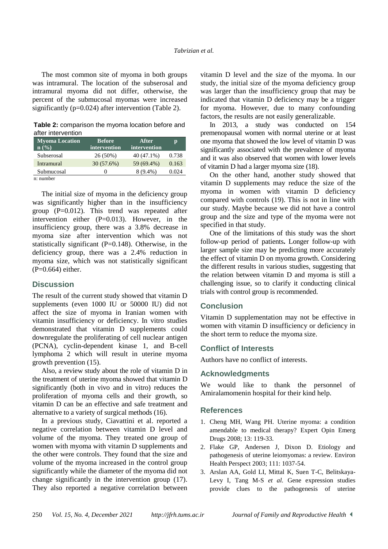The most common site of myoma in both groups was intramural. The location of the subserosal and intramural myoma did not differ, otherwise, the percent of the submucosal myomas were increased significantly (p=0.024) after intervention (Table 2).

**Table 2:** comparison the myoma location before and after intervention

| <b>Myoma Location</b><br>$n\left(\frac{0}{0}\right)$ | <b>Before</b><br>intervention | After<br>intervention | р     |
|------------------------------------------------------|-------------------------------|-----------------------|-------|
| Subserosal                                           | 26 (50%)                      | 40 (47.1%)            | 0.738 |
| Intramural                                           | 30(57.6%)                     | 59 (69.4%)            | 0.163 |
| Submucosal                                           |                               | $8(9.4\%)$            | 0.024 |
| n: number                                            |                               |                       |       |

The initial size of myoma in the deficiency group was significantly higher than in the insufficiency group  $(P=0.012)$ . This trend was repeated after intervention either (P=0.013). However, in the insufficiency group, there was a 3.8% decrease in myoma size after intervention which was not statistically significant  $(P=0.148)$ . Otherwise, in the deficiency group, there was a 2.4% reduction in myoma size, which was not statistically significant  $(P=0.664)$  either.

## **Discussion**

The result of the current study showed that vitamin D supplements (even 1000 IU or 50000 IU) did not affect the size of myoma in Iranian women with vitamin insufficiency or deficiency. In vitro studies demonstrated that vitamin D supplements could downregulate the proliferating of cell nuclear antigen (PCNA), cyclin-dependent kinase 1, and B-cell lymphoma 2 which will result in uterine myoma growth prevention (15).

Also, a review study about the role of vitamin D in the treatment of uterine myoma showed that vitamin D significantly (both in vivo and in vitro) reduces the proliferation of myoma cells and their growth, so vitamin D can be an effective and safe treatment and alternative to a variety of surgical methods (16).

In a previous study, Ciavattini et al. reported a negative correlation between vitamin D level and volume of the myoma. They treated one group of women with myoma with vitamin D supplements and the other were controls. They found that the size and volume of the myoma increased in the control group significantly while the diameter of the myoma did not change significantly in the intervention group (17). They also reported a negative correlation between

vitamin D level and the size of the myoma. In our study, the initial size of the myoma deficiency group was larger than the insufficiency group that may be indicated that vitamin D deficiency may be a trigger for myoma. However, due to many confounding factors, the results are not easily generalizable.

In 2013, a study was conducted on 154 premenopausal women with normal uterine or at least one myoma that showed the low level of vitamin D was significantly associated with the prevalence of myoma and it was also observed that women with lower levels of vitamin D had a larger myoma size (18).

On the other hand, another study showed that vitamin D supplements may reduce the size of the myoma in women with vitamin D deficiency compared with controls (19). This is not in line with our study. Maybe because we did not have a control group and the size and type of the myoma were not specified in that study.

One of the limitations of this study was the short follow-up period of patients**.** Longer follow-up with larger sample size may be predicting more accurately the effect of vitamin D on myoma growth. Considering the different results in various studies, suggesting that the relation between vitamin D and myoma is still a challenging issue, so to clarify it conducting clinical trials with control group is recommended.

## **Conclusion**

Vitamin D supplementation may not be effective in women with vitamin D insufficiency or deficiency in the short term to reduce the myoma size.

## **Conflict of Interests**

Authors have no conflict of interests.

## **Acknowledgments**

We would like to thank the personnel of Amiralamomenin hospital for their kind help.

#### **References**

- 1. Cheng MH, Wang PH. Uterine myoma: a condition amendable to medical therapy? Expert Opin Emerg Drugs 2008; 13: 119-33.
- 2. Flake GP, Andersen J, Dixon D. Etiology and pathogenesis of uterine leiomyomas: a review. [Environ](https://www.ncbi.nlm.nih.gov/pmc/articles/PMC1241553/)  [Health Perspect](https://www.ncbi.nlm.nih.gov/pmc/articles/PMC1241553/) 2003; 111: 1037-54.
- 3. Arslan AA, Gold LI, Mittal K, Suen T-C, Belitskaya-Levy I, Tang M-S *et al.* Gene expression studies provide clues to the pathogenesis of uterine